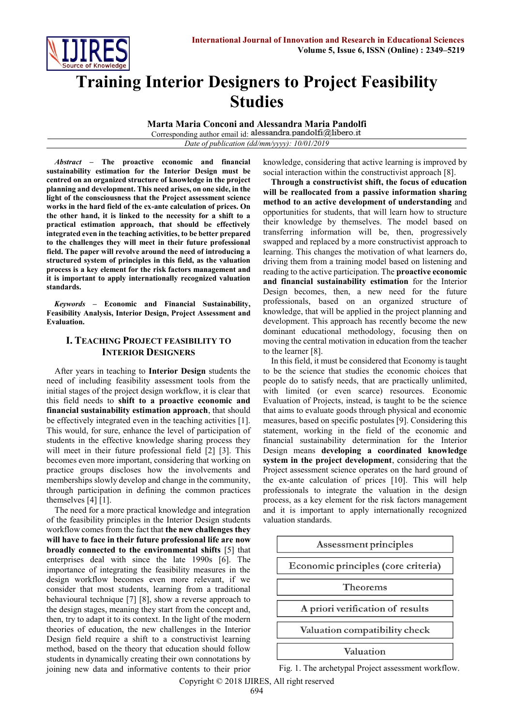

# **Training Interior Designers to Project Feasibility Studies**

**Marta Maria Conconi and Alessandra Maria Pandolfi**

Corresponding author email id: alessandra.pandolfi@libero.it *Date of publication (dd/mm/yyyy): 10/01/2019*

*Abstract* **– The proactive economic and financial sustainability estimation for the Interior Design must be centred on an organized structure of knowledge in the project planning and development. This need arises, on one side, in the light of the consciousness that the Project assessment science works in the hard field of the ex-ante calculation of prices. On the other hand, it is linked to the necessity for a shift to a practical estimation approach, that should be effectively integrated even in the teaching activities, to be better prepared to the challenges they will meet in their future professional field. The paper will revolve around the need of introducing a structured system of principles in this field, as the valuation process is a key element for the risk factors management and it is important to apply internationally recognized valuation standards.**

*Keywords* **– Economic and Financial Sustainability, Feasibility Analysis, Interior Design, Project Assessment and Evaluation.**

## **I. TEACHING PROJECT FEASIBILITY TO INTERIOR DESIGNERS**

After years in teaching to **Interior Design** students the need of including feasibility assessment tools from the initial stages of the project design workflow, it is clear that this field needs to **shift to a proactive economic and financial sustainability estimation approach**, that should be effectively integrated even in the teaching activities [1]. This would, for sure, enhance the level of participation of students in the effective knowledge sharing process they will meet in their future professional field [2] [3]. This becomes even more important, considering that working on practice groups discloses how the involvements and memberships slowly develop and change in the community, through participation in defining the common practices themselves [4] [1].

The need for a more practical knowledge and integration of the feasibility principles in the Interior Design students workflow comes from the fact that **the new challenges they will have to face in their future professional life are now broadly connected to the environmental shifts** [5] that enterprises deal with since the late 1990s [6]. The importance of integrating the feasibility measures in the design workflow becomes even more relevant, if we consider that most students, learning from a traditional behavioural technique [7] [8], show a reverse approach to the design stages, meaning they start from the concept and, then, try to adapt it to its context. In the light of the modern theories of education, the new challenges in the Interior Design field require a shift to a constructivist learning method, based on the theory that education should follow students in dynamically creating their own connotations by joining new data and informative contents to their prior knowledge, considering that active learning is improved by social interaction within the constructivist approach [8].

**Through a constructivist shift, the focus of education will be reallocated from a passive information sharing method to an active development of understanding** and opportunities for students, that will learn how to structure their knowledge by themselves. The model based on transferring information will be, then, progressively swapped and replaced by a more constructivist approach to learning. This changes the motivation of what learners do, driving them from a training model based on listening and reading to the active participation. The **proactive economic and financial sustainability estimation** for the Interior Design becomes, then, a new need for the future professionals, based on an organized structure of knowledge, that will be applied in the project planning and development. This approach has recently become the new dominant educational methodology, focusing then on moving the central motivation in education from the teacher to the learner [8].

In this field, it must be considered that Economy is taught to be the science that studies the economic choices that people do to satisfy needs, that are practically unlimited, with limited (or even scarce) resources. Economic Evaluation of Projects, instead, is taught to be the science that aims to evaluate goods through physical and economic measures, based on specific postulates [9]. Considering this statement, working in the field of the economic and financial sustainability determination for the Interior Design means **developing a coordinated knowledge system in the project development**, considering that the Project assessment science operates on the hard ground of the ex-ante calculation of prices [10]. This will help professionals to integrate the valuation in the design process, as a key element for the risk factors management and it is important to apply internationally recognized valuation standards.



Fig. 1. The archetypal Project assessment workflow.

Copyright © 2018 IJIRES, All right reserved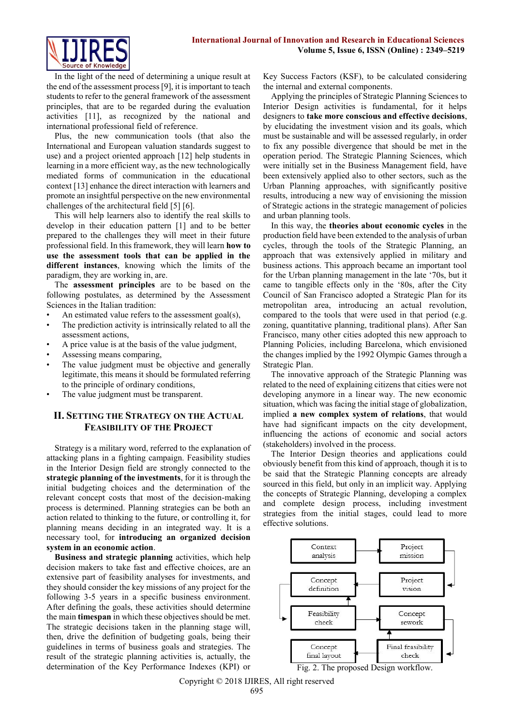

In the light of the need of determining a unique result at the end of the assessment process [9], it is important to teach students to refer to the general framework of the assessment principles, that are to be regarded during the evaluation activities [11], as recognized by the national and international professional field of reference.

Plus, the new communication tools (that also the International and European valuation standards suggest to use) and a project oriented approach [12] help students in learning in a more efficient way, as the new technologically mediated forms of communication in the educational context [13] enhance the direct interaction with learners and promote an insightful perspective on the new environmental challenges of the architectural field [5] [6].

This will help learners also to identify the real skills to develop in their education pattern [1] and to be better prepared to the challenges they will meet in their future professional field. In this framework, they will learn **how to use the assessment tools that can be applied in the different instances**, knowing which the limits of the paradigm, they are working in, are.

The **assessment principles** are to be based on the following postulates, as determined by the Assessment Sciences in the Italian tradition:

- An estimated value refers to the assessment goal(s),
- The prediction activity is intrinsically related to all the assessment actions,
- A price value is at the basis of the value judgment,
- Assessing means comparing,
- The value judgment must be objective and generally legitimate, this means it should be formulated referring to the principle of ordinary conditions,
- The value judgment must be transparent.

## **II. SETTING THE STRATEGY ON THE ACTUAL FEASIBILITY OF THE PROJECT**

Strategy is a military word, referred to the explanation of attacking plans in a fighting campaign. Feasibility studies in the Interior Design field are strongly connected to the **strategic planning of the investments**, for it is through the initial budgeting choices and the determination of the relevant concept costs that most of the decision-making process is determined. Planning strategies can be both an action related to thinking to the future, or controlling it, for planning means deciding in an integrated way. It is a necessary tool, for **introducing an organized decision system in an economic action**.

**Business and strategic planning** activities, which help decision makers to take fast and effective choices, are an extensive part of feasibility analyses for investments, and they should consider the key missions of any project for the following 3-5 years in a specific business environment. After defining the goals, these activities should determine the main **timespan** in which these objectives should be met. The strategic decisions taken in the planning stage will, then, drive the definition of budgeting goals, being their guidelines in terms of business goals and strategies. The result of the strategic planning activities is, actually, the determination of the Key Performance Indexes (KPI) or Key Success Factors (KSF), to be calculated considering the internal and external components.

Applying the principles of Strategic Planning Sciences to Interior Design activities is fundamental, for it helps designers to **take more conscious and effective decisions**, by elucidating the investment vision and its goals, which must be sustainable and will be assessed regularly, in order to fix any possible divergence that should be met in the operation period. The Strategic Planning Sciences, which were initially set in the Business Management field, have been extensively applied also to other sectors, such as the Urban Planning approaches, with significantly positive results, introducing a new way of envisioning the mission of Strategic actions in the strategic management of policies and urban planning tools.

In this way, the **theories about economic cycles** in the production field have been extended to the analysis of urban cycles, through the tools of the Strategic Planning, an approach that was extensively applied in military and business actions. This approach became an important tool for the Urban planning management in the late '70s, but it came to tangible effects only in the '80s, after the City Council of San Francisco adopted a Strategic Plan for its metropolitan area, introducing an actual revolution, compared to the tools that were used in that period (e.g. zoning, quantitative planning, traditional plans). After San Francisco, many other cities adopted this new approach to Planning Policies, including Barcelona, which envisioned the changes implied by the 1992 Olympic Games through a Strategic Plan.

The innovative approach of the Strategic Planning was related to the need of explaining citizens that cities were not developing anymore in a linear way. The new economic situation, which was facing the initial stage of globalization, implied **a new complex system of relations**, that would have had significant impacts on the city development, influencing the actions of economic and social actors (stakeholders) involved in the process.

The Interior Design theories and applications could obviously benefit from this kind of approach, though it is to be said that the Strategic Planning concepts are already sourced in this field, but only in an implicit way. Applying the concepts of Strategic Planning, developing a complex and complete design process, including investment strategies from the initial stages, could lead to more effective solutions.



Copyright © 2018 IJIRES, All right reserved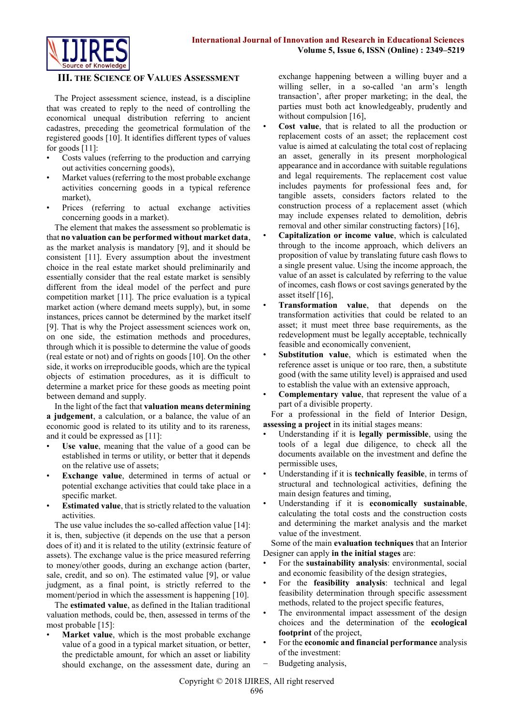

#### **III. THE SCIENCE OF VALUES ASSESSMENT**

The Project assessment science, instead, is a discipline that was created to reply to the need of controlling the economical unequal distribution referring to ancient cadastres, preceding the geometrical formulation of the registered goods [10]. It identifies different types of values for goods [11]:

- Costs values (referring to the production and carrying out activities concerning goods),
- Market values (referring to the most probable exchange activities concerning goods in a typical reference market),
- Prices (referring to actual exchange activities concerning goods in a market).

The element that makes the assessment so problematic is that **no valuation can be performed without market data**, as the market analysis is mandatory [9], and it should be consistent [11]. Every assumption about the investment choice in the real estate market should preliminarily and essentially consider that the real estate market is sensibly different from the ideal model of the perfect and pure competition market [11]. The price evaluation is a typical market action (where demand meets supply), but, in some instances, prices cannot be determined by the market itself [9]. That is why the Project assessment sciences work on, on one side, the estimation methods and procedures, through which it is possible to determine the value of goods (real estate or not) and of rights on goods [10]. On the other side, it works on irreproducible goods, which are the typical objects of estimation procedures, as it is difficult to determine a market price for these goods as meeting point between demand and supply.

In the light of the fact that **valuation means determining a judgement**, a calculation, or a balance, the value of an economic good is related to its utility and to its rareness, and it could be expressed as [11]:

- Use value, meaning that the value of a good can be established in terms or utility, or better that it depends on the relative use of assets;
- **Exchange value**, determined in terms of actual or potential exchange activities that could take place in a specific market.
- **Estimated value**, that is strictly related to the valuation activities.

The use value includes the so-called affection value [14]: it is, then, subjective (it depends on the use that a person does of it) and it is related to the utility (extrinsic feature of assets). The exchange value is the price measured referring to money/other goods, during an exchange action (barter, sale, credit, and so on). The estimated value [9], or value judgment, as a final point, is strictly referred to the moment/period in which the assessment is happening [10].

The **estimated value**, as defined in the Italian traditional valuation methods, could be, then, assessed in terms of the most probable [15]:

Market value, which is the most probable exchange value of a good in a typical market situation, or better, the predictable amount, for which an asset or liability should exchange, on the assessment date, during an exchange happening between a willing buyer and a willing seller, in a so-called 'an arm's length transaction', after proper marketing; in the deal, the parties must both act knowledgeably, prudently and without compulsion [16],

- **Cost value**, that is related to all the production or replacement costs of an asset; the replacement cost value is aimed at calculating the total cost of replacing an asset, generally in its present morphological appearance and in accordance with suitable regulations and legal requirements. The replacement cost value includes payments for professional fees and, for tangible assets, considers factors related to the construction process of a replacement asset (which may include expenses related to demolition, debris removal and other similar constructing factors) [16],
- **Capitalization or income value**, which is calculated through to the income approach, which delivers an proposition of value by translating future cash flows to a single present value. Using the income approach, the value of an asset is calculated by referring to the value of incomes, cash flows or cost savings generated by the asset itself [16],
- **Transformation value**, that depends on the transformation activities that could be related to an asset; it must meet three base requirements, as the redevelopment must be legally acceptable, technically feasible and economically convenient,
- Substitution value, which is estimated when the reference asset is unique or too rare, then, a substitute good (with the same utility level) is appraised and used to establish the value with an extensive approach,
- **Complementary value**, that represent the value of a part of a divisible property.

For a professional in the field of Interior Design, **assessing a project** in its initial stages means:

- Understanding if it is **legally permissible**, using the tools of a legal due diligence, to check all the documents available on the investment and define the permissible uses,
- Understanding if it is **technically feasible**, in terms of structural and technological activities, defining the main design features and timing,
- Understanding if it is **economically sustainable**, calculating the total costs and the construction costs and determining the market analysis and the market value of the investment.

Some of the main **evaluation techniques** that an Interior Designer can apply **in the initial stages** are:

- For the **sustainability analysis**: environmental, social and economic feasibility of the design strategies,
- For the **feasibility analysis**: technical and legal feasibility determination through specific assessment methods, related to the project specific features,
- The environmental impact assessment of the design choices and the determination of the **ecological footprint** of the project,
- For the **economic and financial performance** analysis of the investment:
- Budgeting analysis,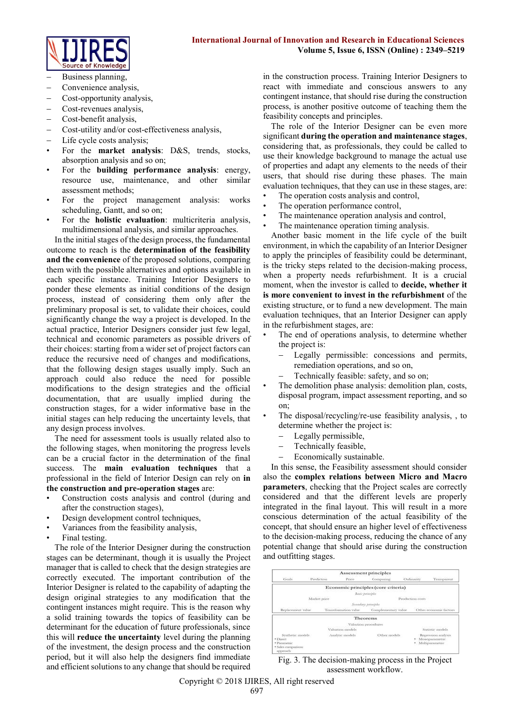

- Business planning,
- Convenience analysis,
- Cost-opportunity analysis,
- Cost-revenues analysis,
- Cost-benefit analysis,
- Cost-utility and/or cost-effectiveness analysis,
- Life cycle costs analysis;
- For the **market analysis**: D&S, trends, stocks, absorption analysis and so on;
- For the **building performance analysis**: energy, resource use, maintenance, and other similar assessment methods;
- For the project management analysis: works scheduling, Gantt, and so on;
- For the **holistic evaluation**: multicriteria analysis, multidimensional analysis, and similar approaches.

In the initial stages of the design process, the fundamental outcome to reach is the **determination of the feasibility and the convenience** of the proposed solutions, comparing them with the possible alternatives and options available in each specific instance. Training Interior Designers to ponder these elements as initial conditions of the design process, instead of considering them only after the preliminary proposal is set, to validate their choices, could significantly change the way a project is developed. In the actual practice, Interior Designers consider just few legal, technical and economic parameters as possible drivers of their choices: starting from a wider set of project factors can reduce the recursive need of changes and modifications, that the following design stages usually imply. Such an approach could also reduce the need for possible modifications to the design strategies and the official documentation, that are usually implied during the construction stages, for a wider informative base in the initial stages can help reducing the uncertainty levels, that any design process involves.

The need for assessment tools is usually related also to the following stages, when monitoring the progress levels can be a crucial factor in the determination of the final success. The **main evaluation techniques** that a professional in the field of Interior Design can rely on **in the construction and pre-operation stages** are:

- Construction costs analysis and control (during and after the construction stages),
- Design development control techniques,
- Variances from the feasibility analysis,
- Final testing.

The role of the Interior Designer during the construction stages can be determinant, though it is usually the Project manager that is called to check that the design strategies are correctly executed. The important contribution of the Interior Designer is related to the capability of adapting the design original strategies to any modification that the contingent instances might require. This is the reason why a solid training towards the topics of feasibility can be determinant for the education of future professionals, since this will **reduce the uncertainty** level during the planning of the investment, the design process and the construction period, but it will also help the designers find immediate and efficient solutions to any change that should be required in the construction process. Training Interior Designers to react with immediate and conscious answers to any contingent instance, that should rise during the construction process, is another positive outcome of teaching them the feasibility concepts and principles.

The role of the Interior Designer can be even more significant **during the operation and maintenance stages**, considering that, as professionals, they could be called to use their knowledge background to manage the actual use of properties and adapt any elements to the needs of their users, that should rise during these phases. The main evaluation techniques, that they can use in these stages, are:

- The operation costs analysis and control,
- The operation performance control,
- The maintenance operation analysis and control,
- The maintenance operation timing analysis.

Another basic moment in the life cycle of the built environment, in which the capability of an Interior Designer to apply the principles of feasibility could be determinant, is the tricky steps related to the decision-making process, when a property needs refurbishment. It is a crucial moment, when the investor is called to **decide, whether it is more convenient to invest in the refurbishment** of the existing structure, or to fund a new development. The main evaluation techniques, that an Interior Designer can apply in the refurbishment stages, are:

- The end of operations analysis, to determine whether the project is:
	- Legally permissible: concessions and permits, remediation operations, and so on,
	- Technically feasible: safety, and so on;
- The demolition phase analysis: demolition plan, costs, disposal program, impact assessment reporting, and so on;
- The disposal/recycling/re-use feasibility analysis, , to determine whether the project is:
	- Legally permissible,
	- Technically feasible,
	- Economically sustainable.

In this sense, the Feasibility assessment should consider also the **complex relations between Micro and Macro parameters**, checking that the Project scales are correctly considered and that the different levels are properly integrated in the final layout. This will result in a more conscious determination of the actual feasibility of the concept, that should ensure an higher level of effectiveness to the decision-making process, reducing the chance of any potential change that should arise during the construction and outfitting stages.



Fig. 3. The decision-making process in the Project assessment workflow.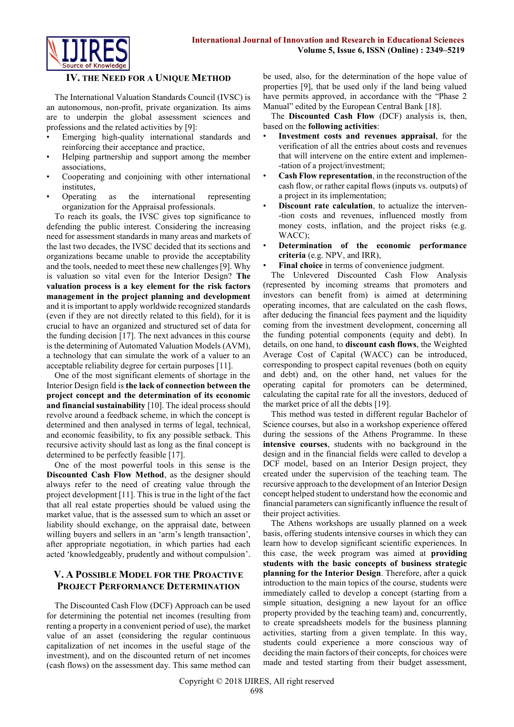

#### **IV. THE NEED FOR A UNIQUE METHOD**

The International Valuation Standards Council (IVSC) is an autonomous, non-profit, private organization. Its aims are to underpin the global assessment sciences and professions and the related activities by [9]:

- Emerging high-quality international standards and reinforcing their acceptance and practice,
- Helping partnership and support among the member associations,
- Cooperating and conjoining with other international institutes,
- Operating as the international representing organization for the Appraisal professionals.

To reach its goals, the IVSC gives top significance to defending the public interest. Considering the increasing need for assessment standards in many areas and markets of the last two decades, the IVSC decided that its sections and organizations became unable to provide the acceptability and the tools, needed to meet these new challenges [9]. Why is valuation so vital even for the Interior Design? **The valuation process is a key element for the risk factors management in the project planning and development** and it is important to apply worldwide recognized standards (even if they are not directly related to this field), for it is crucial to have an organized and structured set of data for the funding decision [17]. The next advances in this course is the determining of Automated Valuation Models (AVM), a technology that can simulate the work of a valuer to an acceptable reliability degree for certain purposes [11].

One of the most significant elements of shortage in the Interior Design field is **the lack of connection between the project concept and the determination of its economic and financial sustainability** [10]. The ideal process should revolve around a feedback scheme, in which the concept is determined and then analysed in terms of legal, technical, and economic feasibility, to fix any possible setback. This recursive activity should last as long as the final concept is determined to be perfectly feasible [17].

One of the most powerful tools in this sense is the **Discounted Cash Flow Method**, as the designer should always refer to the need of creating value through the project development [11]. This is true in the light of the fact that all real estate properties should be valued using the market value, that is the assessed sum to which an asset or liability should exchange, on the appraisal date, between willing buyers and sellers in an 'arm's length transaction', after appropriate negotiation, in which parties had each acted 'knowledgeably, prudently and without compulsion'.

## **V. A POSSIBLE MODEL FOR THE PROACTIVE PROJECT PERFORMANCE DETERMINATION**

The Discounted Cash Flow (DCF) Approach can be used for determining the potential net incomes (resulting from renting a property in a convenient period of use), the market value of an asset (considering the regular continuous capitalization of net incomes in the useful stage of the investment), and on the discounted return of net incomes (cash flows) on the assessment day. This same method can be used, also, for the determination of the hope value of properties [9], that be used only if the land being valued have permits approved, in accordance with the "Phase 2 Manual" edited by the European Central Bank [18].

The **Discounted Cash Flow** (DCF) analysis is, then, based on the **following activities**:

- **Investment costs and revenues appraisal**, for the verification of all the entries about costs and revenues that will intervene on the entire extent and implemen- -tation of a project/investment;
- **Cash Flow representation**, in the reconstruction of the cash flow, or rather capital flows (inputs vs. outputs) of a project in its implementation;
- **Discount rate calculation**, to actualize the interven--tion costs and revenues, influenced mostly from money costs, inflation, and the project risks (e.g. WACC);
- **Determination of the economic performance criteria** (e.g. NPV, and IRR),
- **Final choice** in terms of convenience judgment.

The Unlevered Discounted Cash Flow Analysis (represented by incoming streams that promoters and investors can benefit from) is aimed at determining operating incomes, that are calculated on the cash flows, after deducing the financial fees payment and the liquidity coming from the investment development, concerning all the funding potential components (equity and debt). In details, on one hand, to **discount cash flows**, the Weighted Average Cost of Capital (WACC) can be introduced, corresponding to prospect capital revenues (both on equity and debt) and, on the other hand, net values for the operating capital for promoters can be determined, calculating the capital rate for all the investors, deduced of the market price of all the debts [19].

This method was tested in different regular Bachelor of Science courses, but also in a workshop experience offered during the sessions of the Athens Programme. In these **intensive courses**, students with no background in the design and in the financial fields were called to develop a DCF model, based on an Interior Design project, they created under the supervision of the teaching team. The recursive approach to the development of an Interior Design concept helped student to understand how the economic and financial parameters can significantly influence the result of their project activities.

The Athens workshops are usually planned on a week basis, offering students intensive courses in which they can learn how to develop significant scientific experiences. In this case, the week program was aimed at **providing students with the basic concepts of business strategic planning for the Interior Design**. Therefore, after a quick introduction to the main topics of the course, students were immediately called to develop a concept (starting from a simple situation, designing a new layout for an office property provided by the teaching team) and, concurrently, to create spreadsheets models for the business planning activities, starting from a given template. In this way, students could experience a more conscious way of deciding the main factors of their concepts, for choices were made and tested starting from their budget assessment,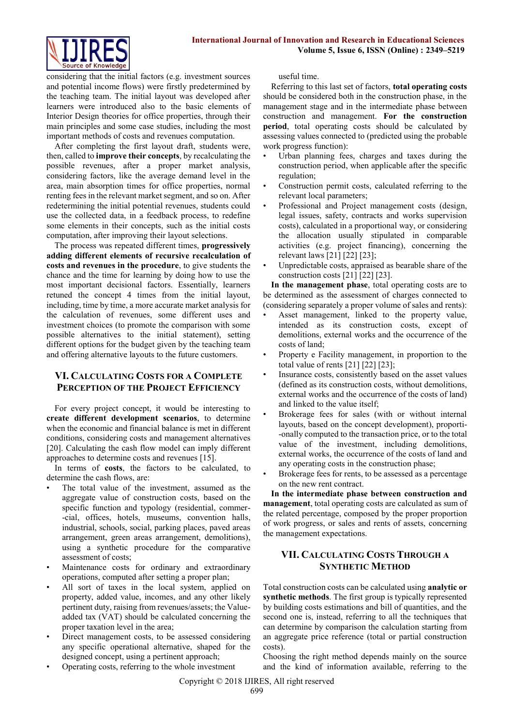

considering that the initial factors (e.g. investment sources and potential income flows) were firstly predetermined by the teaching team. The initial layout was developed after learners were introduced also to the basic elements of Interior Design theories for office properties, through their main principles and some case studies, including the most important methods of costs and revenues computation.

After completing the first layout draft, students were, then, called to **improve their concepts**, by recalculating the possible revenues, after a proper market analysis, considering factors, like the average demand level in the area, main absorption times for office properties, normal renting fees in the relevant market segment, and so on. After redetermining the initial potential revenues, students could use the collected data, in a feedback process, to redefine some elements in their concepts, such as the initial costs computation, after improving their layout selections.

The process was repeated different times, **progressively adding different elements of recursive recalculation of costs and revenues in the procedure**, to give students the chance and the time for learning by doing how to use the most important decisional factors. Essentially, learners retuned the concept 4 times from the initial layout, including, time by time, a more accurate market analysis for the calculation of revenues, some different uses and investment choices (to promote the comparison with some possible alternatives to the initial statement), setting different options for the budget given by the teaching team and offering alternative layouts to the future customers.

# **VI. CALCULATING COSTS FOR A COMPLETE PERCEPTION OF THE PROJECT EFFICIENCY**

For every project concept, it would be interesting to **create different development scenarios**, to determine when the economic and financial balance is met in different conditions, considering costs and management alternatives [20]. Calculating the cash flow model can imply different approaches to determine costs and revenues [15].

In terms of **costs**, the factors to be calculated, to determine the cash flows, are:

- The total value of the investment, assumed as the aggregate value of construction costs, based on the specific function and typology (residential, commer- -cial, offices, hotels, museums, convention halls, industrial, schools, social, parking places, paved areas arrangement, green areas arrangement, demolitions), using a synthetic procedure for the comparative assessment of costs;
- Maintenance costs for ordinary and extraordinary operations, computed after setting a proper plan;
- All sort of taxes in the local system, applied on property, added value, incomes, and any other likely pertinent duty, raising from revenues/assets; the Valueadded tax (VAT) should be calculated concerning the proper taxation level in the area;
- Direct management costs, to be assessed considering any specific operational alternative, shaped for the designed concept, using a pertinent approach;
- Operating costs, referring to the whole investment

useful time.

Referring to this last set of factors, **total operating costs** should be considered both in the construction phase, in the management stage and in the intermediate phase between construction and management. **For the construction period**, total operating costs should be calculated by assessing values connected to (predicted using the probable work progress function):

- Urban planning fees, charges and taxes during the construction period, when applicable after the specific regulation;
- Construction permit costs, calculated referring to the relevant local parameters;
- Professional and Project management costs (design, legal issues, safety, contracts and works supervision costs), calculated in a proportional way, or considering the allocation usually stipulated in comparable activities (e.g. project financing), concerning the relevant laws [21] [22] [23];
- Unpredictable costs, appraised as bearable share of the construction costs [21] [22] [23].

**In the management phase**, total operating costs are to be determined as the assessment of charges connected to (considering separately a proper volume of sales and rents):

- Asset management, linked to the property value, intended as its construction costs, except of demolitions, external works and the occurrence of the costs of land;
- Property e Facility management, in proportion to the total value of rents  $[21]$   $[22]$   $[23]$ ;
- Insurance costs, consistently based on the asset values (defined as its construction costs, without demolitions, external works and the occurrence of the costs of land) and linked to the value itself;
- Brokerage fees for sales (with or without internal layouts, based on the concept development), proporti- -onally computed to the transaction price, or to the total value of the investment, including demolitions, external works, the occurrence of the costs of land and any operating costs in the construction phase;
- Brokerage fees for rents, to be assessed as a percentage on the new rent contract.

**In the intermediate phase between construction and management**, total operating costs are calculated as sum of the related percentage, composed by the proper proportion of work progress, or sales and rents of assets, concerning the management expectations.

# **VII. CALCULATING COSTS THROUGH A SYNTHETIC METHOD**

Total construction costs can be calculated using **analytic or synthetic methods**. The first group is typically represented by building costs estimations and bill of quantities, and the second one is, instead, referring to all the techniques that can determine by comparison the calculation starting from an aggregate price reference (total or partial construction costs).

Choosing the right method depends mainly on the source and the kind of information available, referring to the

Copyright © 2018 IJIRES, All right reserved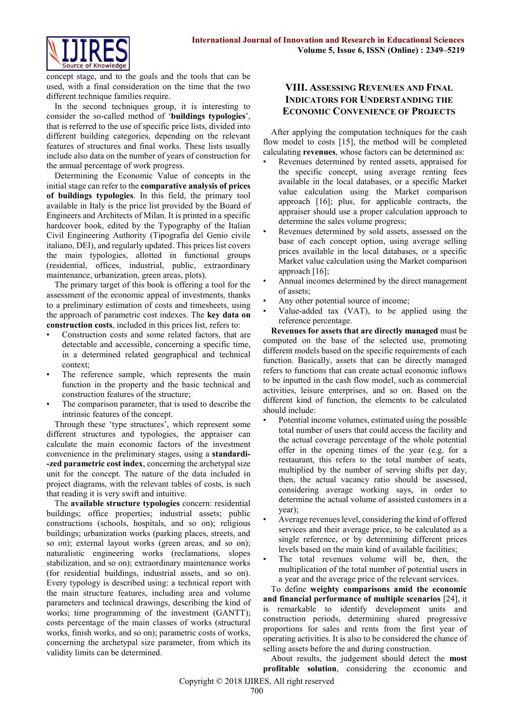

concept stage, and to the goals and the tools that can be used, with a final consideration on the time that the two different technique families require.

In the second techniques group, it is interesting to consider the so-called method of '**buildings typologies**', that is referred to the use of specific price lists, divided into different building categories, depending on the relevant features of structures and final works. These lists usually include also data on the number of years of construction for the annual percentage of work progress.

Determining the Economic Value of concepts in the initial stage can refer to the **comparative analysis of prices of buildings typologies**. In this field, the primary tool available in Italy is the price list provided by the Board of Engineers and Architects of Milan. It is printed in a specific hardcover book, edited by the Typography of the Italian Civil Engineering Authority (Tipografia del Genio civile italiano, DEI), and regularly updated. This prices list covers the main typologies, allotted in functional groups (residential, offices, industrial, public, extraordinary maintenance, urbanization, green areas, plots).

The primary target of this book is offering a tool for the assessment of the economic appeal of investments, thanks to a preliminary estimation of costs and timesheets, using the approach of parametric cost indexes. The **key data on construction costs**, included in this prices list, refers to:

- Construction costs and some related factors, that are detectable and accessible, concerning a specific time, in a determined related geographical and technical context;
- The reference sample, which represents the main function in the property and the basic technical and construction features of the structure;
- The comparison parameter, that is used to describe the intrinsic features of the concept.

Through these 'type structures', which represent some different structures and typologies, the appraiser can calculate the main economic factors of the investment convenience in the preliminary stages, using a **standardi- -zed parametric cost index**, concerning the archetypal size unit for the concept. The nature of the data included in project diagrams, with the relevant tables of costs, is such that reading it is very swift and intuitive.

The **available structure typologies** concern: residential buildings; office properties; industrial assets; public constructions (schools, hospitals, and so on); religious buildings; urbanization works (parking places, streets, and so on); external layout works (green areas, and so on); naturalistic engineering works (reclamations, slopes stabilization, and so on); extraordinary maintenance works (for residential buildings, industrial assets, and so on). Every typology is described using: a technical report with the main structure features, including area and volume parameters and technical drawings, describing the kind of works; time programming of the investment (GANTT); costs percentage of the main classes of works (structural works, finish works, and so on); parametric costs of works, concerning the archetypal size parameter, from which its validity limits can be determined.

## **VIII. ASSESSING REVENUES AND FINAL INDICATORS FOR UNDERSTANDING THE ECONOMIC CONVENIENCE OF PROJECTS**

After applying the computation techniques for the cash flow model to costs [15], the method will be completed calculating **revenues**, whose factors can be determined as:

- Revenues determined by rented assets, appraised for the specific concept, using average renting fees available in the local databases, or a specific Market value calculation using the Market comparison approach [16]; plus, for applicable contracts, the appraiser should use a proper calculation approach to determine the sales volume progress;
- Revenues determined by sold assets, assessed on the base of each concept option, using average selling prices available in the local databases, or a specific Market value calculation using the Market comparison approach [16];
- Annual incomes determined by the direct management of assets;
- Any other potential source of income;
- Value-added tax (VAT), to be applied using the reference percentage.

**Revenues for assets that are directly managed** must be computed on the base of the selected use, promoting different models based on the specific requirements of each function. Basically, assets that can be directly managed refers to functions that can create actual economic inflows to be inputted in the cash flow model, such as commercial activities, leisure enterprises, and so on. Based on the different kind of function, the elements to be calculated should include:

- Potential income volumes, estimated using the possible total number of users that could access the facility and the actual coverage percentage of the whole potential offer in the opening times of the year (e.g. for a restaurant, this refers to the total number of seats, multiplied by the number of serving shifts per day, then, the actual vacancy ratio should be assessed, considering average working says, in order to determine the actual volume of assisted customers in a year);
- Average revenues level, considering the kind of offered services and their average price, to be calculated as a single reference, or by determining different prices levels based on the main kind of available facilities;
- The total revenues volume will be, then, the multiplication of the total number of potential users in a year and the average price of the relevant services.

To define **weighty comparisons amid the economic and financial performance of multiple scenarios** [24], it is remarkable to identify development units and construction periods, determining shared progressive proportions for sales and rents from the first year of operating activities. It is also to be considered the chance of selling assets before the and during construction.

About results, the judgement should detect the **most profitable solution**, considering the economic and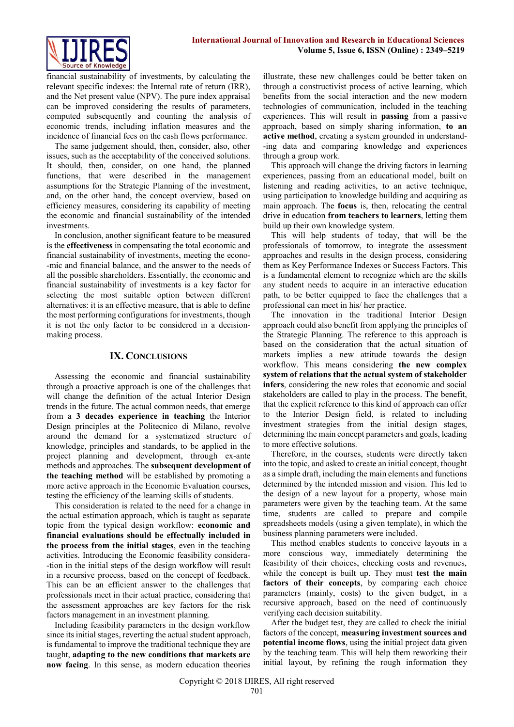

financial sustainability of investments, by calculating the relevant specific indexes: the Internal rate of return (IRR), and the Net present value (NPV). The pure index appraisal can be improved considering the results of parameters, computed subsequently and counting the analysis of economic trends, including inflation measures and the incidence of financial fees on the cash flows performance.

The same judgement should, then, consider, also, other issues, such as the acceptability of the conceived solutions. It should, then, consider, on one hand, the planned functions, that were described in the management assumptions for the Strategic Planning of the investment, and, on the other hand, the concept overview, based on efficiency measures, considering its capability of meeting the economic and financial sustainability of the intended investments.

In conclusion, another significant feature to be measured is the **effectiveness** in compensating the total economic and financial sustainability of investments, meeting the econo- -mic and financial balance, and the answer to the needs of all the possible shareholders. Essentially, the economic and financial sustainability of investments is a key factor for selecting the most suitable option between different alternatives: it is an effective measure, that is able to define the most performing configurations for investments, though it is not the only factor to be considered in a decisionmaking process.

#### **IX. CONCLUSIONS**

Assessing the economic and financial sustainability through a proactive approach is one of the challenges that will change the definition of the actual Interior Design trends in the future. The actual common needs, that emerge from a **3 decades experience in teaching** the Interior Design principles at the Politecnico di Milano, revolve around the demand for a systematized structure of knowledge, principles and standards, to be applied in the project planning and development, through ex-ante methods and approaches. The **subsequent development of the teaching method** will be established by promoting a more active approach in the Economic Evaluation courses, testing the efficiency of the learning skills of students.

This consideration is related to the need for a change in the actual estimation approach, which is taught as separate topic from the typical design workflow: **economic and financial evaluations should be effectually included in the process from the initial stages**, even in the teaching activities. Introducing the Economic feasibility considera- -tion in the initial steps of the design workflow will result in a recursive process, based on the concept of feedback. This can be an efficient answer to the challenges that professionals meet in their actual practice, considering that the assessment approaches are key factors for the risk factors management in an investment planning.

Including feasibility parameters in the design workflow since its initial stages, reverting the actual student approach, is fundamental to improve the traditional technique they are taught, **adapting to the new conditions that markets are now facing**. In this sense, as modern education theories illustrate, these new challenges could be better taken on through a constructivist process of active learning, which benefits from the social interaction and the new modern technologies of communication, included in the teaching experiences. This will result in **passing** from a passive approach, based on simply sharing information, **to an active method**, creating a system grounded in understand- -ing data and comparing knowledge and experiences through a group work.

This approach will change the driving factors in learning experiences, passing from an educational model, built on listening and reading activities, to an active technique, using participation to knowledge building and acquiring as main approach. The **focus** is, then, relocating the central drive in education **from teachers to learners**, letting them build up their own knowledge system.

This will help students of today, that will be the professionals of tomorrow, to integrate the assessment approaches and results in the design process, considering them as Key Performance Indexes or Success Factors. This is a fundamental element to recognize which are the skills any student needs to acquire in an interactive education path, to be better equipped to face the challenges that a professional can meet in his/ her practice.

The innovation in the traditional Interior Design approach could also benefit from applying the principles of the Strategic Planning. The reference to this approach is based on the consideration that the actual situation of markets implies a new attitude towards the design workflow. This means considering **the new complex system of relations that the actual system of stakeholder infers**, considering the new roles that economic and social stakeholders are called to play in the process. The benefit, that the explicit reference to this kind of approach can offer to the Interior Design field, is related to including investment strategies from the initial design stages, determining the main concept parameters and goals, leading to more effective solutions.

Therefore, in the courses, students were directly taken into the topic, and asked to create an initial concept, thought as a simple draft, including the main elements and functions determined by the intended mission and vision. This led to the design of a new layout for a property, whose main parameters were given by the teaching team. At the same time, students are called to prepare and compile spreadsheets models (using a given template), in which the business planning parameters were included.

This method enables students to conceive layouts in a more conscious way, immediately determining the feasibility of their choices, checking costs and revenues, while the concept is built up. They must **test the main factors of their concepts**, by comparing each choice parameters (mainly, costs) to the given budget, in a recursive approach, based on the need of continuously verifying each decision suitability.

After the budget test, they are called to check the initial factors of the concept, **measuring investment sources and potential income flows**, using the initial project data given by the teaching team. This will help them reworking their initial layout, by refining the rough information they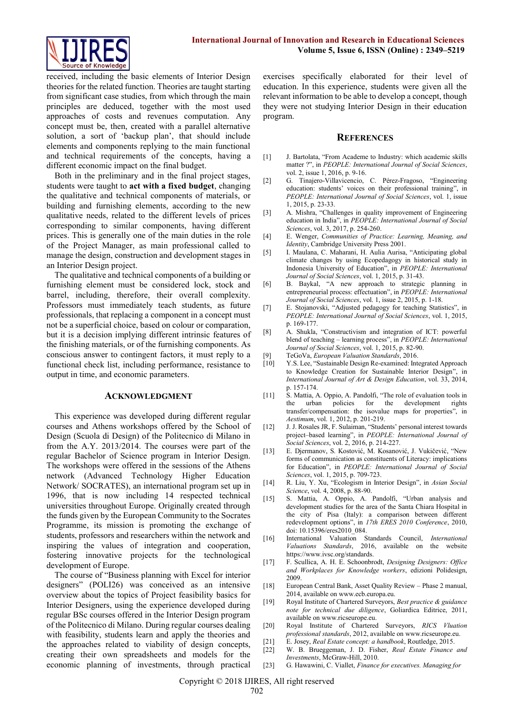

received, including the basic elements of Interior Design theories for the related function. Theories are taught starting from significant case studies, from which through the main principles are deduced, together with the most used approaches of costs and revenues computation. Any concept must be, then, created with a parallel alternative solution, a sort of 'backup plan', that should include elements and components replying to the main functional and technical requirements of the concepts, having a different economic impact on the final budget.

Both in the preliminary and in the final project stages, students were taught to **act with a fixed budget**, changing the qualitative and technical components of materials, or building and furnishing elements, according to the new qualitative needs, related to the different levels of prices corresponding to similar components, having different prices. This is generally one of the main duties in the role of the Project Manager, as main professional called to manage the design, construction and development stages in an Interior Design project.

The qualitative and technical components of a building or furnishing element must be considered lock, stock and barrel, including, therefore, their overall complexity. Professors must immediately teach students, as future professionals, that replacing a component in a concept must not be a superficial choice, based on colour or comparation, but it is a decision implying different intrinsic features of the finishing materials, or of the furnishing components. As conscious answer to contingent factors, it must reply to a functional check list, including performance, resistance to output in time, and economic parameters.

#### **ACKNOWLEDGMENT**

This experience was developed during different regular courses and Athens workshops offered by the School of Design (Scuola di Design) of the Politecnico di Milano in from the A.Y. 2013/2014. The courses were part of the regular Bachelor of Science program in Interior Design. The workshops were offered in the sessions of the Athens network (Advanced Technology Higher Education Network/ SOCRATES), an international program set up in 1996, that is now including 14 respected technical universities throughout Europe. Originally created through the funds given by the European Community to the Socrates Programme, its mission is promoting the exchange of students, professors and researchers within the network and inspiring the values of integration and cooperation, fostering innovative projects for the technological development of Europe.

The course of "Business planning with Excel for interior designers" (POLI26) was conceived as an intensive overview about the topics of Project feasibility basics for Interior Designers, using the experience developed during regular BSc courses offered in the Interior Design program of the Politecnico di Milano. During regular courses dealing with feasibility, students learn and apply the theories and the approaches related to viability of design concepts, creating their own spreadsheets and models for the economic planning of investments, through practical exercises specifically elaborated for their level of education. In this experience, students were given all the relevant information to be able to develop a concept, though they were not studying Interior Design in their education program.

#### **REFERENCES**

- [1] J. Bartolata, "From Academe to Industry: which academic skills matter ?", in *PEOPLE: International Journal of Social Sciences*, vol. 2, issue 1, 2016, p. 9-16.
- [2] G. Tinajero-Villavicencio, C. Pérez-Fragoso, "Engineering education: students' voices on their professional training", in *PEOPLE: International Journal of Social Sciences*, vol. 1, issue 1, 2015, p. 23-33.
- [3] A. Mishra, "Challenges in quality improvement of Engineering education in India", in *PEOPLE: International Journal of Social Sciences*, vol. 3, 2017, p. 254-260.
- [4] E. Wenger, *Communities of Practice: Learning, Meaning, and Identity*, Cambridge University Press 2001.
- [5] I. Maulana, C. Maharani, H. Aulia Aurisa, "Anticipating global climate changes by using Ecopedagogy in historical study in Indonesia University of Education", in *PEOPLE: International Journal of Social Sciences*, vol. 1, 2015, p. 31-43.
- [6] B. Baykal, "A new approach to strategic planning in entrepreneurial process: effectuation", in *PEOPLE: International Journal of Social Sciences*, vol. 1, issue 2, 2015, p. 1-18.
- [7] E. Stojanovski, "Adjusted pedagogy for teaching Statistics", in *PEOPLE: International Journal of Social Sciences*, vol. 1, 2015, p. 169-177.
- [8] A. Shukla, "Constructivism and integration of ICT: powerful blend of teaching – learning process", in *PEOPLE: International Journal of Social Sciences*, vol. 1, 2015, p. 82-90.
- [9] TeGoVa, *European Valuation Standards*, 2016.
- Y.S. Lee, "Sustainable Design Re-examined: Integrated Approach to Knowledge Creation for Sustainable Interior Design", in *International Journal of Art & Design Education*, vol. 33, 2014, p. 157-174.
- [11] S. Mattia, A. Oppio, A. Pandolfi, "The role of evaluation tools in urban policies for the development rights transfer/compensation: the isovalue maps for properties", in *Aestimum*, vol. 1, 2012, p. 201-219.
- [12] J. J. Rosales JR, F. Sulaiman, "Students' personal interest towards project–based learning", in *PEOPLE: International Journal of Social Sciences*, vol. 2, 2016, p. 214-227.
- [13] E. Djermanov, S. Kostović, M. Kosanović, J. Vukičević, "New forms of communication as constituents of Literacy: implications for Education", in *PEOPLE: International Journal of Social Sciences*, vol. 1, 2015, p. 709-723.
- [14] R. Liu, Y. Xu, "Ecologism in Interior Design", in *Asian Social Science*, vol. 4, 2008, p. 88-90.
- [15] S. Mattia, A. Oppio, A. Pandolfi, "Urban analysis and development studies for the area of the Santa Chiara Hospital in the city of Pisa (Italy): a comparison between different redevelopment options", in *17th ERES 2010 Conference*, 2010, doi: 10.15396/eres2010\_084.
- [16] International Valuation Standards Council, *International Valuations Standards*, 2016, available on the website https://www.ivsc.org/standards.
- [17] F. Scullica, A. H. E. Schoonbrodt, *Designing Designers: Office and Workplaces for Knowledge workers*, edizioni Polidesign, 2009.
- [18] European Central Bank, Asset Quality Review Phase 2 manual, 2014, available on www.ecb.europa.eu.
- [19] Royal Institute of Chartered Surveyors, *Best practice & guidance note for technical due diligence*, Goliardica Editrice, 2011, available on www.ricseurope.eu.
- [20] Royal Institute of Chartered Surveyors, *RICS Vluation professional standards*, 2012, available on www.ricseurope.eu.
- [21] E. Josey, *Real Estate concept: a handbook*, Routledge, 2015.
- [22] W. B. Brueggeman, J. D. Fisher, *Real Estate Finance and Investments*, McGraw-Hill, 2010.
- [23] G. Hawawini, C. Viallet, *Finance for executives. Managing for*